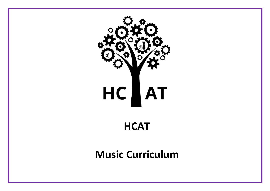

**HCAT**

# **Music Curriculum**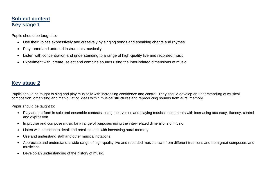#### **Subject content Key stage 1**

Pupils should be taught to:

- Use their voices expressively and creatively by singing songs and speaking chants and rhymes
- Play tuned and untuned instruments musically
- Listen with concentration and understanding to a range of high-quality live and recorded music
- Experiment with, create, select and combine sounds using the inter-related dimensions of music.

### **Key stage 2**

Pupils should be taught to sing and play musically with increasing confidence and control. They should develop an understanding of musical composition, organising and manipulating ideas within musical structures and reproducing sounds from aural memory.

Pupils should be taught to:

- Play and perform in solo and ensemble contexts, using their voices and playing musical instruments with increasing accuracy, fluency, control and expression
- Improvise and compose music for a range of purposes using the inter-related dimensions of music
- Listen with attention to detail and recall sounds with increasing aural memory
- Use and understand staff and other musical notations
- Appreciate and understand a wide range of high-quality live and recorded music drawn from different traditions and from great composers and musicians
- Develop an understanding of the history of music.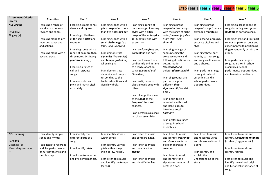## EYFS Year 1 Year 2 Year 3 Year 4 Year 5 Year 6

| <b>Assessment Criteria-</b><br><b>Incerts</b>                                                  | Transition                                                                                                                                                                      | Year 1                                                                                                                                                                                                                                                                                                                                            | Year 2                                                                                                                                                                                                                                                                                                                                                          | Year 3                                                                                                                                                                                                                                                                                                                                                                                                                                                                                                                                | Year 4                                                                                                                                                                                                                                                                                                                                                                                                                                                                                                                                                                  | Year 5                                                                                                                                                                                                                                                                                                                                      | Year 6                                                                                                                                                                                                                                                                                                                                                                     |
|------------------------------------------------------------------------------------------------|---------------------------------------------------------------------------------------------------------------------------------------------------------------------------------|---------------------------------------------------------------------------------------------------------------------------------------------------------------------------------------------------------------------------------------------------------------------------------------------------------------------------------------------------|-----------------------------------------------------------------------------------------------------------------------------------------------------------------------------------------------------------------------------------------------------------------------------------------------------------------------------------------------------------------|---------------------------------------------------------------------------------------------------------------------------------------------------------------------------------------------------------------------------------------------------------------------------------------------------------------------------------------------------------------------------------------------------------------------------------------------------------------------------------------------------------------------------------------|-------------------------------------------------------------------------------------------------------------------------------------------------------------------------------------------------------------------------------------------------------------------------------------------------------------------------------------------------------------------------------------------------------------------------------------------------------------------------------------------------------------------------------------------------------------------------|---------------------------------------------------------------------------------------------------------------------------------------------------------------------------------------------------------------------------------------------------------------------------------------------------------------------------------------------|----------------------------------------------------------------------------------------------------------------------------------------------------------------------------------------------------------------------------------------------------------------------------------------------------------------------------------------------------------------------------|
| <b>NC: Singing</b><br><b>INCERTS:</b><br>Singing (a)                                           | I can sing a range of<br>well-known nursery<br>rhymes and songs.<br>I can sing along to pre-<br>recorded songs and<br>add actions.<br>I can sing along with a<br>backing track. | I can sing simple songs,<br>chants and rhymes.<br>I can sing collectively<br>at the same <i>pitch</i> and<br>count in.<br>I can sing songs with a<br>range of no more than<br>three notes (including<br>pentatonic songs).<br>I can sing a range of<br>call and response<br>songs.<br>I can control vocal<br>pitch and match pitch<br>accurately. | I can sing songs with a<br>pitch range of no more<br>than five notes (do-so).<br>I can sing songs with a<br>small pitch range (e.g<br>Rain, Rain Go Away).<br>I can demonstrate<br>dynamics (loud/quiet)<br>and tempo (fast/slow)<br>when singing.<br>I can demonstrate<br>dynamics and tempo<br>responding to the<br>leaders directions and<br>visual symbols. | I can sing a range of<br>unison songs of varying<br>styles with a pitch<br>range of five notes (do-<br>so) tunefully and with<br>expression.<br>I can perform <i>forte</i> and<br>piano (loud and soft).<br>I can perform actions<br>confidently and in time<br>to a range of action<br>songs (e.g Head and<br>Shoulders).<br>I can walk, move or<br>clap a steady beat with<br>others.<br>I can change the speed<br>of the <b>beat</b> as the<br>tempo of the music<br>changes.<br>I can perform as a choir<br>in school assemblies. | I can sing a broad<br>range of unison songs<br>with the range of eight<br>notes/octave. (e.g One<br>More Day - seas<br>shanty).<br>I can sing a range of<br>songs pitching the<br>voice accurately and<br>following directions for<br>getting louder<br>(crescendo) and<br>quieter (decrescendo).<br>I can sing rounds and<br>partner songs in<br>different time<br>signatures (2,3 and 4)<br>time).<br>I can begin to sing<br>repertoire with small<br>and large leaps to<br>introduce vocal<br>harmony.<br>I can perform a range<br>of songs in school<br>assemblies. | I can sing a broad<br>range of songs from an<br>extended repertoire.<br>I can observe phrasing,<br>accurate pitching and<br>style.<br>I can sing three-part<br>rounds, partner songs<br>and songs with a verse<br>and a chorus.<br>I can perform a range<br>of songs in school<br>assemblies and in<br>school performance<br>opportunities. | I can sing a broad range of<br>songs including syncopated<br>rhythms as part of a choir.<br>I can sing three and four part<br>rounds or partner songs and<br>experiment with positioning<br>singers randomly within the<br>group.<br>I can perform a range of<br>songs as a choir in school<br>assemblies, school<br>performance opportunities<br>and to a wider audience. |
| <b>NC: Listening</b><br><b>INCERTS:</b><br>Listening (c)<br><b>Musical Appreciation</b><br>(f) | I can identify simple<br>songs and rhymes.<br>I can listen to recorded<br>and live performances<br>of nursery rhymes and<br>simple songs.                                       | I can identify the<br>different parts of a<br>song.<br>I can identify <i>pitch</i> .<br>I can listen to recorded<br>and live performances.                                                                                                                                                                                                        | I can identify stories<br>within songs.<br>I can identify varying<br>pitch within songs<br>(high or low notes).<br>I can listen to a music<br>and identify the tempo<br>(speed).                                                                                                                                                                                | I can listen to music<br>and compare <i>pitch</i> .<br>I can listen to music<br>and compare the<br>tempo.<br>I can listen to music<br>and identify the beat.                                                                                                                                                                                                                                                                                                                                                                          | I can listen to music<br>and identify crescendo<br>and <i>decrescendo</i> (to<br>build or decrease in<br>volume).<br>I can listen to music<br>and identify time<br>signatures (number of<br>beats in a bar).                                                                                                                                                                                                                                                                                                                                                            | I can listen to music<br>and recognise verse<br>and chorus sections of<br>a song.<br>I can identify and<br>explain the<br>understanding of the<br>story.                                                                                                                                                                                    | I can listen to music and<br>identify syncopated rhythms<br>(off-beat/reggae music).<br>I can listen to music and<br>identify rounds.<br>I can listen to music and<br>identify the cultural origins<br>and historical importance of<br>songs.                                                                                                                              |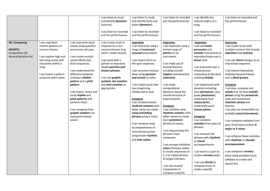|                                                                                    |                                                                                                                                                                                                 |                                                                                                                                                                                                                                                                                                                                                                                                                            | I can listen to music<br>and identify dynamics<br>(volume).<br>I can listen to recorded<br>and live performances.                                                                                                                                                                                  | I can listen to music<br>and identify forte and<br>piano (dynamics).<br>I can listen to recorded<br>and live performances.                                                                                                                                                                                                                                                                                                                                                                                                                                     | I can listen to recorded<br>and live performances.                                                                                                                                                                                                                                                                                                                                                                                                                                                                                                                                                                                                                                                | I can identify the<br>cultural origins of a<br>song.<br>I can listen to recorded<br>and live performances.                                                                                                                                                                                                                                                                                                                                                                                                                                                                                                                                                                                             | I can listen to recorded and<br>live performances.                                                                                                                                                                                                                                                                                                                                                                                                                                                                                                                                                                                                                                                                                                              |
|------------------------------------------------------------------------------------|-------------------------------------------------------------------------------------------------------------------------------------------------------------------------------------------------|----------------------------------------------------------------------------------------------------------------------------------------------------------------------------------------------------------------------------------------------------------------------------------------------------------------------------------------------------------------------------------------------------------------------------|----------------------------------------------------------------------------------------------------------------------------------------------------------------------------------------------------------------------------------------------------------------------------------------------------|----------------------------------------------------------------------------------------------------------------------------------------------------------------------------------------------------------------------------------------------------------------------------------------------------------------------------------------------------------------------------------------------------------------------------------------------------------------------------------------------------------------------------------------------------------------|---------------------------------------------------------------------------------------------------------------------------------------------------------------------------------------------------------------------------------------------------------------------------------------------------------------------------------------------------------------------------------------------------------------------------------------------------------------------------------------------------------------------------------------------------------------------------------------------------------------------------------------------------------------------------------------------------|--------------------------------------------------------------------------------------------------------------------------------------------------------------------------------------------------------------------------------------------------------------------------------------------------------------------------------------------------------------------------------------------------------------------------------------------------------------------------------------------------------------------------------------------------------------------------------------------------------------------------------------------------------------------------------------------------------|-----------------------------------------------------------------------------------------------------------------------------------------------------------------------------------------------------------------------------------------------------------------------------------------------------------------------------------------------------------------------------------------------------------------------------------------------------------------------------------------------------------------------------------------------------------------------------------------------------------------------------------------------------------------------------------------------------------------------------------------------------------------|
| <b>NC: Composing</b><br><b>INCERTS:</b><br>Composition (d)<br>Musical Notation (e) | I can copy basic<br>rhythm patterns of<br>nursery rhymes.<br>I can explore high and<br>low using voices and<br>characters within a<br>song.<br>I can invent a pattern<br>using one pitch notes. | I can improvise vocal<br>chants using question<br>and answer phrases.<br>I can create musical<br>sound effects and<br>short sequences.<br>I can understand the<br>difference between<br>creating a <i>rhythm</i><br>pattern and a pitch<br>pattern.<br>I can invent, retain and<br>recall rhythm and<br>pitch patterns and<br>perform these.<br>I can recognise how<br>graphic notation can<br>represent created<br>sound. | I can create music in<br>response to a non-<br>musical stimulus (e.g:<br>storm, rocket launch).<br>I can work with a<br>partner to improvise<br>simple <i>question</i> and<br>answer phrases.<br>I can use <i>graphic</i><br>symbols, dot notation<br>and <i>stick notation</i> as<br>appropriate. | <b>Improvise</b><br>I can improvise using a<br>range of tuned and<br><i>untuned</i> instruments.<br>I can invent short on-<br>the-spot responses.<br>I can structure musical<br>ideas using <i>question</i><br>and answer or echo.<br>I can create music that<br>has a beginning,<br>middle and an end.<br><b>Compose</b><br>can combine known<br>rhythmic notation with<br>letter names to create<br>rising and falling<br>phrases using 3 notes.<br>I can compose song<br>accompaniments on<br>untuned percussion<br>using known rhythms<br>and note values. | Improvise<br>I can improvise using a<br>limited range of<br><i>pitches</i> on an<br>instrument.<br>I can make use of<br>musical features<br>including smooth<br>(legato) and detached<br>(staccato).<br>I can make<br>compositional<br>decisions about the<br>overall structure of<br>improvisations.<br>Compose<br>I can combine none<br>rhythmic notation with<br>letter names to create<br>short <i>pentatonic</i><br>phrases (5 notes).<br>I can sing and play the<br>phrases I have<br>composed.<br>I can arrange individual<br>notes of known values<br>to create sequences of<br>2, 3 or 4 beat phrases<br>arranged into bars.<br>I can use musical<br>components to<br>compose a specific | <b>Improvise</b><br>I can use tuned<br>percussion and<br>melodic instruments to<br>improvise freely over a<br>drone note.<br>I can improvise over a<br>simple groove<br>responding to the beat<br>creating <i>melody</i> .<br>I can experiment with<br>dynamics including:<br>loud (fortissimo), very<br>quiet ( <i>pianissimo</i> ),<br>moderately loud<br>(mezzo forte),<br>moderately quiet<br>$(mezzo piano)$ .<br>Compose<br>I can compose<br>melodies from pairs of<br>phrases.<br>I can enhance the<br>phrases with rhythmic<br>or choral<br>accompaniments.<br>I can work in a pair to<br>create a <i>ternary</i> piece.<br>I can use <i>chords</i> to<br>compose music to<br>evoke a specific | <b>Improvise</b><br>I can create music with<br>multiple sections that include<br>repetition and contrast.<br>I can use <i>chord</i> changes as an<br>improvised sequence.<br>I can extend improvised<br>melodies beyond 8 beats<br>over a fixed groove.<br>Compose<br>I can plan, compose and<br>notate 8 or 16 beat melodic<br>phrase using the pentatonic<br>scale and incorporate<br>rhythmic variety and<br>interest.<br>I can play my composition on<br>available tuned instruments.<br>I can compose melodies from<br>pairs of phrases in either G<br>major or E minor.<br>I can enhance these melodies<br>with rhythmic or chordal<br>accompaniment.<br>I can compose a ternary<br>piece using available music<br>software to create and<br>record this. |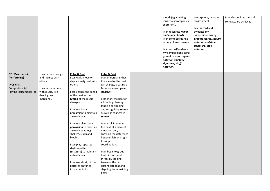|                                                                                                          |                                                                                                                           |                                                                                                                                                                                                                                                                                                                                                                                                                                                                                               |                                                                                                                                                                                                                                                                                                                                                                                                                                                                                                                                                                                | mood (eg: creating<br>music to accompany a<br>short film).<br>I can recognise major<br>and minor chords.<br>I can compose using a<br>variety of instruments.<br>I can record/evidence<br>my compositions using:<br>graphic scores, rhythm<br>notation and time<br>signature, staff<br>notation. | atmosphere, mood or<br>environment.<br>I can record and<br>evidence my<br>compositions using:<br>graphic scores, rhythm<br>notation and time<br>signature, staff<br>notation. | I can discuss how musical<br>contrasts are achieved. |
|----------------------------------------------------------------------------------------------------------|---------------------------------------------------------------------------------------------------------------------------|-----------------------------------------------------------------------------------------------------------------------------------------------------------------------------------------------------------------------------------------------------------------------------------------------------------------------------------------------------------------------------------------------------------------------------------------------------------------------------------------------|--------------------------------------------------------------------------------------------------------------------------------------------------------------------------------------------------------------------------------------------------------------------------------------------------------------------------------------------------------------------------------------------------------------------------------------------------------------------------------------------------------------------------------------------------------------------------------|-------------------------------------------------------------------------------------------------------------------------------------------------------------------------------------------------------------------------------------------------------------------------------------------------|-------------------------------------------------------------------------------------------------------------------------------------------------------------------------------|------------------------------------------------------|
| <b>NC: Musicianship</b><br>(Performing)<br><b>INCERTS:</b><br>Composition (d)<br>Playing Instruments (b) | I can perform songs<br>and rhymes with<br>others.<br>I can move in time<br>with music. (e.g<br>dancing, and<br>marching). | Pulse & Beat<br>I can walk, move or<br>clap a steady beat with<br>others.<br>I can change the speed<br>of the beat as the<br>tempo of the music<br>changes.<br>I can use body<br>percussion to maintain<br>a steady beat.<br>I can use classroom<br>percussion to maintain<br>a steady beat (e.g.<br>shakers, sticks and<br>blocks).<br>I can play repeated<br>rhythm patterns<br>(ostinato) to maintain<br>a steady beat.<br>I can use short, pitched<br>patterns on tuned<br>instruments to | Pulse & Beat<br>I can understand that<br>the speed of the beat<br>can change, creating a<br>faster or slower pace<br>(tempo).<br>I can mark the beat of<br>a listening piece by<br>tapping or clapping<br>and recognising tempo<br>as well as changes in<br>tempo.<br>I can walk in time to<br>the beat of a piece of<br>music or song,<br>knowing the difference<br>between left and right<br>to support<br>coordination.<br>I can begin to group<br>beats in twos and<br>threes by tapping<br>knees on the first<br>(strongest) beat and<br>clapping the remaining<br>beats. |                                                                                                                                                                                                                                                                                                 |                                                                                                                                                                               |                                                      |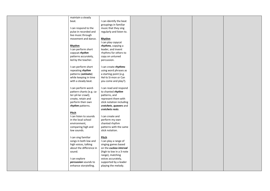| maintain a steady        |                          |  |  |
|--------------------------|--------------------------|--|--|
| beat.                    | I can identify the beat  |  |  |
|                          | groupings in familiar    |  |  |
| I can respond to the     | music that they sing     |  |  |
| pulse in recorded and    | regularly and listen to. |  |  |
|                          |                          |  |  |
| live music through       |                          |  |  |
| movement and dance.      | Rhythm                   |  |  |
|                          | I can play copycat       |  |  |
| Rhythm                   | rhythms, copying a       |  |  |
| I can perform short      | leader, and invent       |  |  |
| copycat rhythm           | rhythms for others to    |  |  |
| patterns accurately,     | copy on untuned          |  |  |
| led by the teacher.      | percussion.              |  |  |
|                          |                          |  |  |
| I can perform short      | I can create rhythms     |  |  |
| repeating rhythm         | using word phrases as    |  |  |
| patterns (ostinato)      | a starting point (e.g.   |  |  |
| while keeping in time    | Hel-lo Si-mon or Can     |  |  |
| with a steady beat.      | you come and play?).     |  |  |
|                          |                          |  |  |
| I can perform word-      | I can read and respond   |  |  |
| pattern chants (e.g. ca- | to chanted rhythm        |  |  |
| ter-pil-lar crawl);      | patterns, and            |  |  |
| create, retain and       | represent them with      |  |  |
| perform their own        | stick notation including |  |  |
| rhythm patterns.         | crotchets, quavers and   |  |  |
|                          | crotchets rests.         |  |  |
| Pitch                    |                          |  |  |
| I can listen to sounds   | I can create and         |  |  |
| in the local school      | perform my own           |  |  |
| environment,             | chanted rhythm           |  |  |
| comparing high and       | patterns with the same   |  |  |
| low sounds.              | stick notation.          |  |  |
|                          |                          |  |  |
| I can sing familiar      | <b>Pitch</b>             |  |  |
| songs in both low and    | I can play a range of    |  |  |
| high voices, talking     | singing games based      |  |  |
| about the difference in  | on the cuckoo interval   |  |  |
| sound.                   | (high to low in a 3-note |  |  |
|                          | range), matching         |  |  |
| I can explore            | voices accurately,       |  |  |
| percussion sounds to     | supported by a leader    |  |  |
| enhance storytelling.    | playing the melody.      |  |  |
|                          |                          |  |  |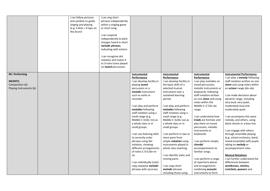|                         | I can follow pictures<br>and symbols to guide<br>singing and playing<br>(e.g. 4 dots = 4 taps on<br>the drum) | I can sing short<br>phrases independently<br>within a singing game<br>or short song.<br>I can respond<br>independently to pitch<br>changes heard in short<br>melodic phrases,<br>indicating with actions<br>I can recognise dot<br>notation and match it<br>to 3-note tunes played<br>on tuned percussion. |                                    |                                    |                                           |                                                                         |
|-------------------------|---------------------------------------------------------------------------------------------------------------|------------------------------------------------------------------------------------------------------------------------------------------------------------------------------------------------------------------------------------------------------------------------------------------------------------|------------------------------------|------------------------------------|-------------------------------------------|-------------------------------------------------------------------------|
| <b>NC: Performing</b>   |                                                                                                               |                                                                                                                                                                                                                                                                                                            | <b>Instrumental</b><br>Performance | <b>Instrumental</b><br>Performance | <b>Instrumental</b><br><b>Performance</b> | <b>Instrumental Performance</b><br>I can play a <i>melody</i> following |
| <b>INCERTS:</b>         |                                                                                                               |                                                                                                                                                                                                                                                                                                            | I can develop facility in          | I can develop facility in          | I can play melodies on                    | staff notation written on one                                           |
| Composition (d)         |                                                                                                               |                                                                                                                                                                                                                                                                                                            | playing tuned                      | the basic skills of a              | tuned percussion,                         | stave and using notes within                                            |
| Playing Instruments (b) |                                                                                                               |                                                                                                                                                                                                                                                                                                            | percussion or a                    | selected musical                   | melodic instruments or                    | an <i>octave</i> range (do-do)                                          |
|                         |                                                                                                               |                                                                                                                                                                                                                                                                                                            | melodic instrument                 | instrument over a                  | keyboards, following                      |                                                                         |
|                         |                                                                                                               |                                                                                                                                                                                                                                                                                                            | such as violin or                  | sustained learning                 | staff notation written                    | I can make decisions about                                              |
|                         |                                                                                                               |                                                                                                                                                                                                                                                                                                            | recorder.                          | period.                            | on one stave and using                    | dynamic range, including                                                |
|                         |                                                                                                               |                                                                                                                                                                                                                                                                                                            |                                    |                                    | notes within the                          | very loud, very quiet,                                                  |
|                         |                                                                                                               |                                                                                                                                                                                                                                                                                                            | I can play and perform             | I can play and perform             | Middle C-C'/do-do                         | moderately loud and                                                     |
|                         |                                                                                                               |                                                                                                                                                                                                                                                                                                            | melodies following                 | melodies following                 | range.                                    | moderately quiet.                                                       |
|                         |                                                                                                               |                                                                                                                                                                                                                                                                                                            | staff notation using a             | staff notation using a             |                                           |                                                                         |
|                         |                                                                                                               |                                                                                                                                                                                                                                                                                                            | small range (e.g.                  | small range (e.g.                  | I can understand how                      | I can accompany this same                                               |
|                         |                                                                                                               |                                                                                                                                                                                                                                                                                                            | Middle C-E/do-mi) as               | Middle C-G/do-so) as               | triads are formed, and                    | melody, and others, using                                               |
|                         |                                                                                                               |                                                                                                                                                                                                                                                                                                            | a whole class or in                | a whole-class or in                | play them on tuned                        | block chords or a bass line.                                            |
|                         |                                                                                                               |                                                                                                                                                                                                                                                                                                            | small groups.                      | small groups.                      | percussion, melodic<br>instruments or     | I can engage with others                                                |
|                         |                                                                                                               |                                                                                                                                                                                                                                                                                                            | I can use listening skills         | I can perform in two or            | keyboards.                                | through ensemble playing                                                |
|                         |                                                                                                               |                                                                                                                                                                                                                                                                                                            | to correctly order                 | more parts from                    |                                           | (e.g. school orchestra, band,                                           |
|                         |                                                                                                               |                                                                                                                                                                                                                                                                                                            | phrases using dot                  | simple <i>notation</i> using       | I can perform simple,                     | mixed ensemble) with pupils                                             |
|                         |                                                                                                               |                                                                                                                                                                                                                                                                                                            | notation, showing                  | instruments played in              | chordal                                   | taking on <i>melody</i> or                                              |
|                         |                                                                                                               |                                                                                                                                                                                                                                                                                                            | different arrangements             | whole class teaching.              | accompaniments to                         | accompaniment roles.                                                    |
|                         |                                                                                                               |                                                                                                                                                                                                                                                                                                            | of notes C-D-E/do-re-              |                                    | familiar songs.                           |                                                                         |
|                         |                                                                                                               |                                                                                                                                                                                                                                                                                                            | mi.                                | I can identify static and          |                                           | <b>Musical Notations</b>                                                |
|                         |                                                                                                               |                                                                                                                                                                                                                                                                                                            |                                    | moving parts.                      | I can perform a range                     | I can further understand the                                            |
|                         |                                                                                                               |                                                                                                                                                                                                                                                                                                            | I can individually (solo)          |                                    | of repertoire pieces                      | differences between                                                     |
|                         |                                                                                                               |                                                                                                                                                                                                                                                                                                            | copy stepwise melodic              | I can copy short                   | and arrangements                          | semibreves, minims,                                                     |
|                         |                                                                                                               |                                                                                                                                                                                                                                                                                                            | phrases with accuracy              | melodic phrases                    | combining acoustic                        | crotchets, quavers and                                                  |
|                         |                                                                                                               |                                                                                                                                                                                                                                                                                                            |                                    | including those using              | instruments to form                       |                                                                         |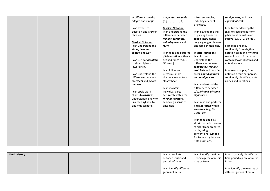|                      |  | at different speeds;    | the <i>pentatonic</i> scale    | mixed ensembles,             | semiquavers, and their         |
|----------------------|--|-------------------------|--------------------------------|------------------------------|--------------------------------|
|                      |  | allegro and adagio.     | (e.g. C, D, E, G, A).          | including a school           | equivalent rests.              |
|                      |  | I can extend to         | <b>Musical Notation</b>        | orchestra.                   | I can further develop the      |
|                      |  | question-and-answer     | I can understand the           | I can develop the skill      | skills to read and perform     |
|                      |  | phrases.                | differences between            | of playing by ear on         | pitch notation within an       |
|                      |  |                         | minims, crotchets,             | tuned instruments,           | octave (e.g. C-C/do-do).       |
|                      |  | <b>Musical Notation</b> | paired quavers and             | copying longer phrases       |                                |
|                      |  | I can understand the    | rests.                         | and familiar melodies.       | I can read and play            |
|                      |  | stave, lines and        |                                |                              | confidently from rhythm        |
|                      |  | spaces, and clef.       | I can read and perform         | <b>Musical Notations</b>     | notation cards and rhythmic    |
|                      |  |                         | pitch <i>notation</i> within a | I can further                | scores in up to 4 parts that   |
|                      |  | I can use dot notation  | defined range (e.g. C-         | understand the               | contain known rhythms and      |
|                      |  | to show higher or       | $G/do$ -so).                   | differences between          | note durations.                |
|                      |  | lower pitch.            |                                | semibreves, minims,          |                                |
|                      |  |                         | I can follow and               | crotchets and crotchet       | I can read and play from       |
|                      |  | I can understand the    | perform simple                 | rests, paired quavers        | notation a four-bar phrase,    |
|                      |  | differences between     | rhythmic scores to a           | and semiquavers.             | confidently identifying note   |
|                      |  | crotchets and paired    | steady beat.                   |                              | names and durations.           |
|                      |  | quavers.                |                                | I can understand the         |                                |
|                      |  |                         | I can maintain                 | differences between          |                                |
|                      |  | I can apply word        | individual parts               | $2/4$ , $3/4$ and $4/4$ time |                                |
|                      |  | chants to rhythms,      | accurately within the          | signatures.                  |                                |
|                      |  | understanding how to    | rhythmic texture,              |                              |                                |
|                      |  | link each syllable to   | achieving a sense of           | I can read and perform       |                                |
|                      |  | one musical note.       | ensemble.                      | pitch <i>notation</i> within |                                |
|                      |  |                         |                                | an octave (e.g. C-           |                                |
|                      |  |                         |                                | $C'/do$ -do).                |                                |
|                      |  |                         |                                | I can read and play          |                                |
|                      |  |                         |                                | short rhythmic phrases       |                                |
|                      |  |                         |                                | at sight from prepared       |                                |
|                      |  |                         |                                | cards, using                 |                                |
|                      |  |                         |                                | conventional symbols         |                                |
|                      |  |                         |                                | for known rhythms and        |                                |
|                      |  |                         |                                | note durations.              |                                |
|                      |  |                         |                                |                              |                                |
|                      |  |                         |                                |                              |                                |
| <b>Music History</b> |  |                         | I can make links               | I can identify the time      | I can accurately identify the  |
|                      |  |                         | between music and              | period a piece of music      | time period a piece of music   |
|                      |  |                         | periods of time.               | may be from.                 | is from.                       |
|                      |  |                         |                                |                              |                                |
|                      |  |                         | I can identify different       |                              | I can identify the features of |
|                      |  |                         | genres of music.               |                              | different genres of music.     |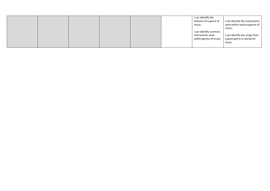|  |  |  | I can identify the<br>features of a genre of | I can identify the instruments |
|--|--|--|----------------------------------------------|--------------------------------|
|  |  |  | music.                                       | used within various genres of  |
|  |  |  |                                              | music.                         |
|  |  |  | I can identify common<br>instruments used    | I can identify key songs from  |
|  |  |  | within genres of music.                      | a given genre or period of     |
|  |  |  |                                              | music.                         |
|  |  |  |                                              |                                |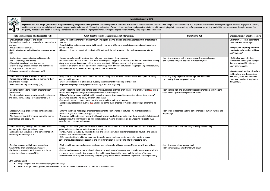

Expressive arts and design (educational programme) being imaginative and expressive: The development of children's artistic and cultural awareness supports their imagination and creativity. It is important that children ha enabling them to explore and play with a wide range of media and materials. The quality and variety of what children see, hear, and participate in is crucial for developing their understanding, self-expression, vocabulary,

**Music Curriculum in EYFS** 

| Skills and knowledge (Fluid across FS1 FS2)                                                                                                                                                                                                                              | What does this look like in provision/adult interactions?                                                                                                                                                                                                                                                                                                                                                                                                                                                                                                                                         | <b>Transition to KS1</b>                                                                                                 | <b>Characteristics of effective learning</b>                                                                                                                                                           |
|--------------------------------------------------------------------------------------------------------------------------------------------------------------------------------------------------------------------------------------------------------------------------|---------------------------------------------------------------------------------------------------------------------------------------------------------------------------------------------------------------------------------------------------------------------------------------------------------------------------------------------------------------------------------------------------------------------------------------------------------------------------------------------------------------------------------------------------------------------------------------------------|--------------------------------------------------------------------------------------------------------------------------|--------------------------------------------------------------------------------------------------------------------------------------------------------------------------------------------------------|
| - Show attention to sounds and music<br>- Respond emotionally and physically to music when it<br>changes.<br>- Move and dance to music.<br>- Anticipate phrases and actions in rhymes and songs<br>$(0-3)$ .                                                             | - Stimulate their enjoyment of music through singing and playing musical and singing games which are attuned to<br>the baby.<br>- Provide babies, toddlers, and young children with a range of different types of singing, sounds and music from<br>diverse cultures.<br>- Allowing children to move their bodies to different music including pre-recorded such as wake up shake up.                                                                                                                                                                                                             |                                                                                                                          | Children in EYFS learn at different<br>rates and abilities through:<br>• Playing and exploring - children<br>investigate and experience things,<br>and 'have a go'.                                    |
| - Explore their voices and enjoy making sounds.<br>- Join in with songs and rhymes.<br>- Make rhythmical and repetitive sounds.<br>- Explore a range of sound makers and instruments<br>and play them in different ways.<br>- Enjoy and take part in action songs (0-3). | - Include songs to go with routines. E.g., hello everyone, days of the week song.<br>- Provide children with instruments and with 'found objects. Suggestions: tapping a bottle onto the table or running<br>a twig along a fence. Encourage children to experiment with different ways of playing instruments.<br>- Introduce children to a broad selection of action songs from different cultures and languages. Sing songs regularly<br>so that children learn the words, melody, and actions off by heart.                                                                                   | - I can sing a range of well-known nursery rhymes and songs.<br>I can copy basic rhythm patterns of nursery rhymes       | • Active learning - children<br>concentrate and keep on trying if<br>they encounter difficulties and<br>enjoy achievements.<br>• Creating and thinking critically -<br>children have and develop their |
| - Listen with increased attention to sounds.<br>- Respond to what they have heard expressing their<br>thoughts and feelings.<br>- Remember and sing entire songs (3-4).                                                                                                  | - Play, share and perform a wide variety of music and songs from different cultures and historical periods. --Play<br>sound-matching games.<br>- Environmental sounds in phonics e.g. guessing the instrument by listening to the sound.<br>- Repetitive sing songs through performances e.g. Christmas singalong.                                                                                                                                                                                                                                                                                | - I can sing along to pre-recorded songs and add actions<br>I can identify simple songs and rhymes                       | own ideas, make links between<br>ideas, and develop strategies for<br>doing things.                                                                                                                    |
| - Sing the pitch of a tone sung by another person<br>(pitch match).<br>- Sing the melodic shape (moving melody, such as up<br>and down, down, and up) of familiar songs (3-4).                                                                                           | - When supporting children to develop their singing voice use a limited pitch range. For example, 'Rain rain' uses a<br>smaller pitch (high/low) range than many traditional nursery rhymes.<br>- Children's singing voices and their ability to control them is developing. Encourage them to use their 'singing'<br>voice: when asked to sing loudly, children often shout.<br>- Sing slowly, so that children clearly hear the words and the melody of the song.<br>- Using one-syllable sounds such as 'ba'. Clap or tap to the pulse of songs or music and encourage children to do<br>this. | - I can explore high and low using voices and characters within a song<br>- I can invent a pattern using one pitch notes |                                                                                                                                                                                                        |
| - Create own songs or improvise a song around one<br>they know (3-4).<br>- Play instruments with increasing control to express<br>their feelings and ideas (3-4).                                                                                                        | - Offering children a wide range of different instruments, from a range of cultures. This might also include<br>electronic keyboards and musical apps on tablets.<br>- Encourage children to experiment with different ways of playing instruments, have these accessible in indoor and<br>outdoor areas. Outdoor music to be on a larger scale e.g. making music on large bins, tapping out beats, twigs<br>along fences, pots pans and spoons.                                                                                                                                                  | - I can listen to recorded and live performances of nursery rhymes and<br>simple songs                                   |                                                                                                                                                                                                        |
| - Listen attentively, move to and talk about music,<br>expressing their feelings and responses.<br>- Watch and talk about dance and performance art,<br>expressing their feelings (4-5).                                                                                 | - Giving children an insight into new musical worlds. Introduce them to different kinds of music from across the<br>globe, including traditional and folk music from Britain.<br>- Inviting musicians in to play music to children and talk about it. Look at different artists on YouTube and explore<br>how their music is different and why.<br>- Offer opportunities for children to go to a live performance, such as a pantomime, play, music, or dance<br>performance. Provide related costumes and props for children to incorporate into their pretend play.                             | - I can move in time with music e.g. dancing and marching                                                                |                                                                                                                                                                                                        |
| - Sing in a group or on their own, increasingly<br>matching the pitch and following melody.<br>- Explore and engage in music making and dance,<br>performing solo or in groups (4-5).<br><b>Early Learning Goals</b>                                                     | - Pitch matching games e.g. humming or singing short phrases for children to copy. Use songs with and without<br>words.<br>- Sing call-and-response songs, so that children can echo phrases of songs you sing. Introduce new songs gradually<br>and repeat them regularly. Sing slowly, so that children can listen to the words and the melody of the song.<br>- Poetry basket, learning new poems regularly and giving opportunities to children to perform this independently.                                                                                                                | - I can sing along with a backing track<br>I can perform songs and rhymes with others                                    |                                                                                                                                                                                                        |

Sing a range of well-known nursery rhymes and songs  $\bullet$ 

Perform songs, rhymes, poems, and stories with others and (when appropriate) try to move in time with music.  $\bullet$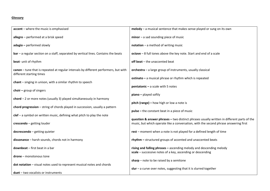#### **Glossary**

| accent - where the music is emphasised                                                                           | $melody - a musical sentence that makes sense played or sung on its own$                                                                                                           |
|------------------------------------------------------------------------------------------------------------------|------------------------------------------------------------------------------------------------------------------------------------------------------------------------------------|
| allegro $-$ performed at a brisk speed                                                                           | $minor - a$ sad sounding piece of music                                                                                                                                            |
| adagio - performed slowly                                                                                        | $notation - a method of writing music$                                                                                                                                             |
| $bar - a$ regular section on a staff, separated by vertical lines. Contains the beats                            | octave - 8 full tones above the key note. Start and end of a scale                                                                                                                 |
| beat- unit of rhythm                                                                                             | off beat - the unaccented beat                                                                                                                                                     |
| canon - tune that is repeated at regular intervals by different performers, but with<br>different starting times | orchestra - a large group of instruments, usually classical                                                                                                                        |
| chant - singing in unison, with a similar rhythm to speech                                                       | ostinato - a musical phrase or rhythm which is repeated                                                                                                                            |
|                                                                                                                  | $p$ entatonic - a scale with 5 notes                                                                                                                                               |
| $\text{choir}$ – group of singers                                                                                | $p$ iano – played softly                                                                                                                                                           |
| $chord - 2$ or more notes (usually 3) played simultaneously in harmony                                           |                                                                                                                                                                                    |
|                                                                                                                  | pitch (range) - how high or low a note is                                                                                                                                          |
| chord progression - string of chords played in succession, usually a pattern                                     | $pulse$ – the constant beat in a piece of music                                                                                                                                    |
| $c$ lef – a symbol on written music, defining what pitch to play the note                                        |                                                                                                                                                                                    |
| crescendo - getting louder                                                                                       | question & answer phrases - two distinct phrases usually written in different parts of the<br>music, but which operate like a conversation, with the second phrase answering first |
| decrescendo - getting quieter                                                                                    | rest - moment when a note is not played for a defined length of time                                                                                                               |
| dissonance - harsh sounds, chords not in harmony                                                                 | rhythm - structured groups of accented and unaccented beats                                                                                                                        |
| downbeat - first beat in a bar                                                                                   | rising and falling phrases - ascending melody and descending melody<br>scale $-$ successive notes of a key, ascending or descending                                                |
| $d$ rone – monotonous tone                                                                                       |                                                                                                                                                                                    |
| dot notation - visual notes used to represent musical notes and chords                                           | sharp $-$ note to be raised by a semitone                                                                                                                                          |
| $duet$ – two vocalists or instruments                                                                            | slur $-$ a curve over notes, suggesting that it is slurred together                                                                                                                |